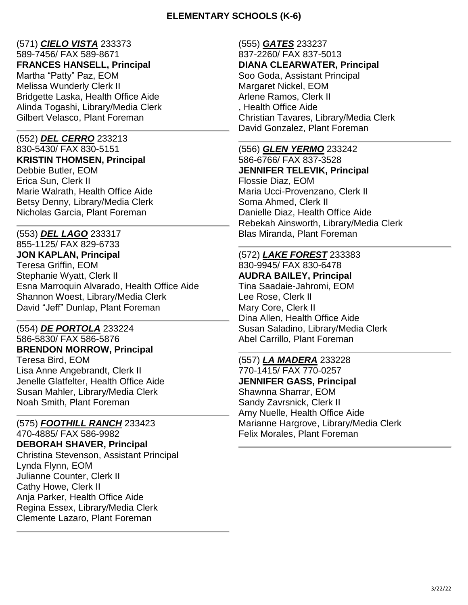## **ELEMENTARY SCHOOLS (K-6)**

# (571) *CIELO VISTA* 233373

589-7456/ FAX 589-8671 **FRANCES HANSELL, Principal** Martha "Patty" Paz, EOM Melissa Wunderly Clerk II

Bridgette Laska, Health Office Aide Alinda Togashi, Library/Media Clerk Gilbert Velasco, Plant Foreman

# (552) *DEL CERRO* 233213

830-5430/ FAX 830-5151 **KRISTIN THOMSEN, Principal** Debbie Butler, EOM Erica Sun, Clerk II Marie Walrath, Health Office Aide Betsy Denny, Library/Media Clerk Nicholas Garcia, Plant Foreman

# (553) *DEL LAGO* 233317

855-1125/ FAX 829-6733 **JON KAPLAN, Principal** Teresa Griffin, EOM Stephanie Wyatt, Clerk II Esna Marroquin Alvarado, Health Office Aide Shannon Woest, Library/Media Clerk David "Jeff" Dunlap, Plant Foreman

# (554) *DE PORTOLA* 233224

586-5830/ FAX 586-5876 **BRENDON MORROW, Principal** Teresa Bird, EOM Lisa Anne Angebrandt, Clerk II Jenelle Glatfelter, Health Office Aide Susan Mahler, Library/Media Clerk Noah Smith, Plant Foreman

## (575) *FOOTHILL RANCH* 233423

470-4885/ FAX 586-9982 **DEBORAH SHAVER, Principal** Christina Stevenson, Assistant Principal Lynda Flynn, EOM Julianne Counter, Clerk II Cathy Howe, Clerk II Anja Parker, Health Office Aide Regina Essex, Library/Media Clerk Clemente Lazaro, Plant Foreman

#### (555) *GATES* 233237 837-2260/ FAX 837-5013 **DIANA CLEARWATER, Principal** Soo Goda, Assistant Principal Margaret Nickel, EOM Arlene Ramos, Clerk II , Health Office Aide Christian Tavares, Library/Media Clerk David Gonzalez, Plant Foreman

(556) *GLEN YERMO* 233242 586-6766/ FAX 837-3528 **JENNIFER TELEVIK, Principal** Flossie Diaz, EOM Maria Ucci-Provenzano, Clerk II Soma Ahmed, Clerk II Danielle Diaz, Health Office Aide Rebekah Ainsworth, Library/Media Clerk Blas Miranda, Plant Foreman

#### (572) *LAKE FOREST* 233383 830-9945/ FAX 830-6478

**AUDRA BAILEY, Principal** Tina Saadaie-Jahromi, EOM Lee Rose, Clerk II Mary Core, Clerk II Dina Allen, Health Office Aide Susan Saladino, Library/Media Clerk Abel Carrillo, Plant Foreman

#### (557) *LA MADERA* 233228 770-1415/ FAX 770-0257 **JENNIFER GASS, Principal** Shawnna Sharrar, EOM Sandy Zavrsnick, Clerk II Amy Nuelle, Health Office Aide Marianne Hargrove, Library/Media Clerk Felix Morales, Plant Foreman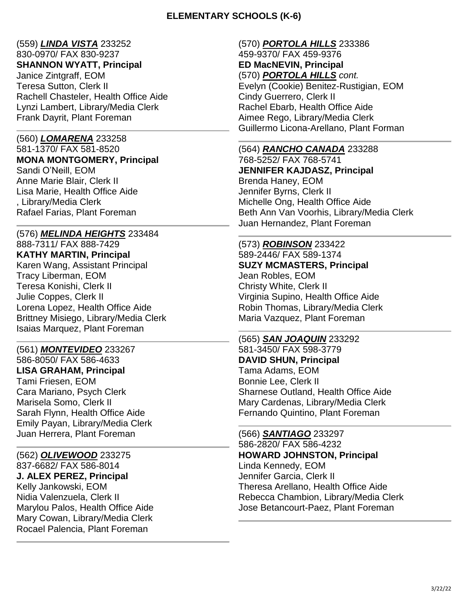## **ELEMENTARY SCHOOLS (K-6)**

# (559) *LINDA VISTA* 233252

830-0970/ FAX 830-9237

**SHANNON WYATT, Principal**

Janice Zintgraff, EOM Teresa Sutton, Clerk II Rachell Chasteler, Health Office Aide Lynzi Lambert, Library/Media Clerk Frank Dayrit, Plant Foreman

## (560) *LOMARENA* 233258

581-1370/ FAX 581-8520 **MONA MONTGOMERY, Principal** Sandi O'Neill, EOM Anne Marie Blair, Clerk II Lisa Marie, Health Office Aide , Library/Media Clerk Rafael Farias, Plant Foreman

## (576) *MELINDA HEIGHTS* 233484

888-7311/ FAX 888-7429 **KATHY MARTIN, Principal** Karen Wang, Assistant Principal Tracy Liberman, EOM Teresa Konishi, Clerk II Julie Coppes, Clerk II Lorena Lopez, Health Office Aide Brittney Misiego, Library/Media Clerk Isaias Marquez, Plant Foreman

(561) *MONTEVIDEO* 233267

586-8050/ FAX 586-4633 **LISA GRAHAM, Principal** Tami Friesen, EOM Cara Mariano, Psych Clerk Marisela Somo, Clerk II Sarah Flynn, Health Office Aide Emily Payan, Library/Media Clerk Juan Herrera, Plant Foreman

(562) *OLIVEWOOD* 233275 837-6682/ FAX 586-8014 **J. ALEX PEREZ, Principal** Kelly Jankowski, EOM Nidia Valenzuela, Clerk II Marylou Palos, Health Office Aide Mary Cowan, Library/Media Clerk Rocael Palencia, Plant Foreman

#### (570) *PORTOLA HILLS* 233386 459-9370/ FAX 459-9376

**ED MacNEVIN, Principal** (570) *PORTOLA HILLS cont.* Evelyn (Cookie) Benitez-Rustigian, EOM Cindy Guerrero, Clerk II Rachel Ebarb, Health Office Aide Aimee Rego, Library/Media Clerk Guillermo Licona-Arellano, Plant Forman

# (564) *RANCHO CANADA* 233288

768-5252/ FAX 768-5741 **JENNIFER KAJDASZ, Principal** Brenda Haney, EOM Jennifer Byrns, Clerk II Michelle Ong, Health Office Aide Beth Ann Van Voorhis, Library/Media Clerk Juan Hernandez, Plant Foreman

# (573) *ROBINSON* 233422

589-2446/ FAX 589-1374 **SUZY MCMASTERS, Principal** Jean Robles, EOM Christy White, Clerk II Virginia Supino, Health Office Aide Robin Thomas, Library/Media Clerk Maria Vazquez, Plant Foreman

#### (565) *SAN JOAQUIN* 233292 581-3450/ FAX 598-3779 **DAVID SHUN, Principal** Tama Adams, EOM Bonnie Lee, Clerk II Sharnese Outland, Health Office Aide Mary Cardenas, Library/Media Clerk Fernando Quintino, Plant Foreman

(566) *SANTIAGO* 233297 586-2820/ FAX 586-4232 **HOWARD JOHNSTON, Principal** Linda Kennedy, EOM Jennifer Garcia, Clerk II Theresa Arellano, Health Office Aide Rebecca Chambion, Library/Media Clerk Jose Betancourt-Paez, Plant Foreman